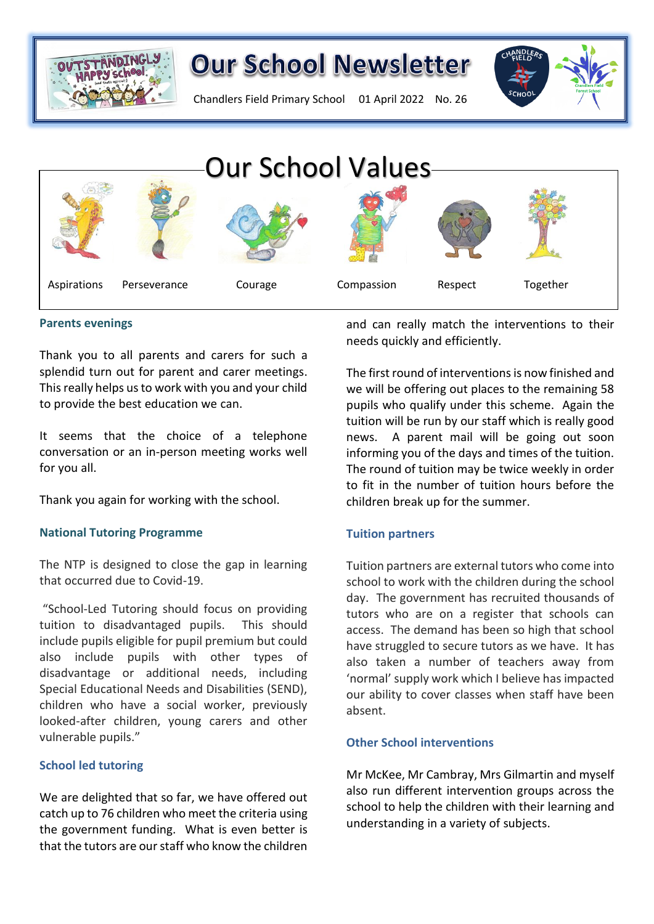

Chandlers Field Primary School 01 April 2022 No. 26



#### **Parents evenings**

Thank you to all parents and carers for such a splendid turn out for parent and carer meetings. This really helps us to work with you and your child to provide the best education we can.

It seems that the choice of a telephone conversation or an in-person meeting works well for you all.

Thank you again for working with the school.

#### **National Tutoring Programme**

The NTP is designed to close the gap in learning that occurred due to Covid-19.

"School-Led Tutoring should focus on providing tuition to disadvantaged pupils. This should include pupils eligible for pupil premium but could also include pupils with other types of disadvantage or additional needs, including Special Educational Needs and Disabilities (SEND), children who have a social worker, previously looked-after children, young carers and other vulnerable pupils."

#### **School led tutoring**

We are delighted that so far, we have offered out catch up to 76 children who meet the criteria using the government funding. What is even better is that the tutors are our staff who know the children and can really match the interventions to their needs quickly and efficiently.

The first round of interventions is now finished and we will be offering out places to the remaining 58 pupils who qualify under this scheme. Again the tuition will be run by our staff which is really good news. A parent mail will be going out soon informing you of the days and times of the tuition. The round of tuition may be twice weekly in order to fit in the number of tuition hours before the children break up for the summer.

## **Tuition partners**

Tuition partners are external tutors who come into school to work with the children during the school day. The government has recruited thousands of tutors who are on a register that schools can access. The demand has been so high that school have struggled to secure tutors as we have. It has also taken a number of teachers away from 'normal' supply work which I believe has impacted our ability to cover classes when staff have been absent.

#### **Other School interventions**

Mr McKee, Mr Cambray, Mrs Gilmartin and myself also run different intervention groups across the school to help the children with their learning and understanding in a variety of subjects.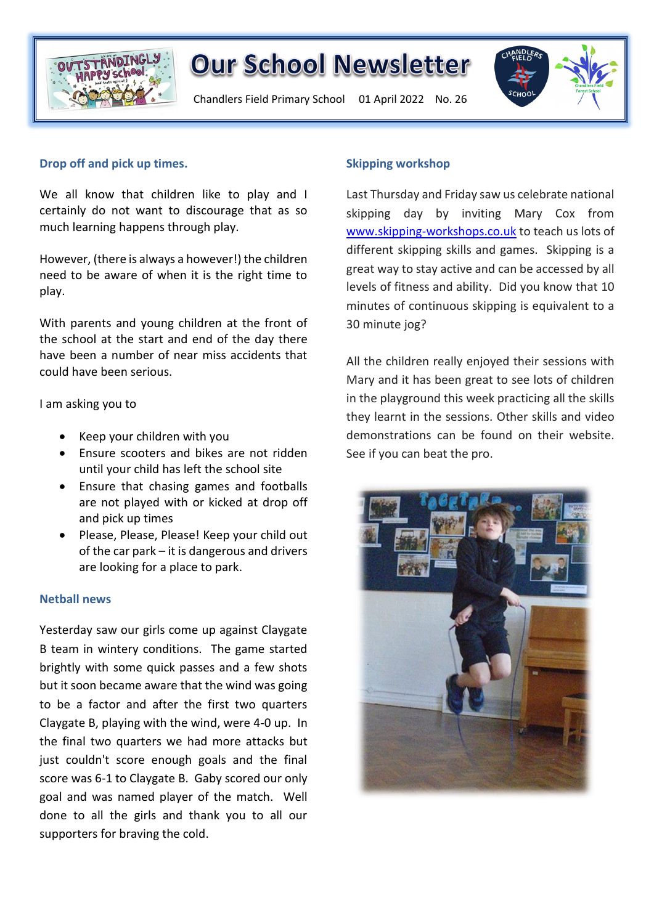

Chandlers Field Primary School 01 April 2022 No. 26



#### **Drop off and pick up times.**

We all know that children like to play and I certainly do not want to discourage that as so much learning happens through play.

However, (there is always a however!) the children need to be aware of when it is the right time to play.

With parents and young children at the front of the school at the start and end of the day there have been a number of near miss accidents that could have been serious.

I am asking you to

- Keep your children with you
- Ensure scooters and bikes are not ridden until your child has left the school site
- Ensure that chasing games and footballs are not played with or kicked at drop off and pick up times
- Please, Please, Please! Keep your child out of the car park – it is dangerous and drivers are looking for a place to park.

#### **Netball news**

Yesterday saw our girls come up against Claygate B team in wintery conditions. The game started brightly with some quick passes and a few shots but it soon became aware that the wind was going to be a factor and after the first two quarters Claygate B, playing with the wind, were 4-0 up. In the final two quarters we had more attacks but just couldn't score enough goals and the final score was 6-1 to Claygate B. Gaby scored our only goal and was named player of the match. Well done to all the girls and thank you to all our supporters for braving the cold.

#### **Skipping workshop**

Last Thursday and Friday saw us celebrate national skipping day by inviting Mary Cox from [www.skipping-workshops.co.uk](http://www.skipping-workshops.co.uk/) to teach us lots of different skipping skills and games. Skipping is a great way to stay active and can be accessed by all levels of fitness and ability. Did you know that 10 minutes of continuous skipping is equivalent to a 30 minute jog?

All the children really enjoyed their sessions with Mary and it has been great to see lots of children in the playground this week practicing all the skills they learnt in the sessions. Other skills and video demonstrations can be found on their website. See if you can beat the pro.

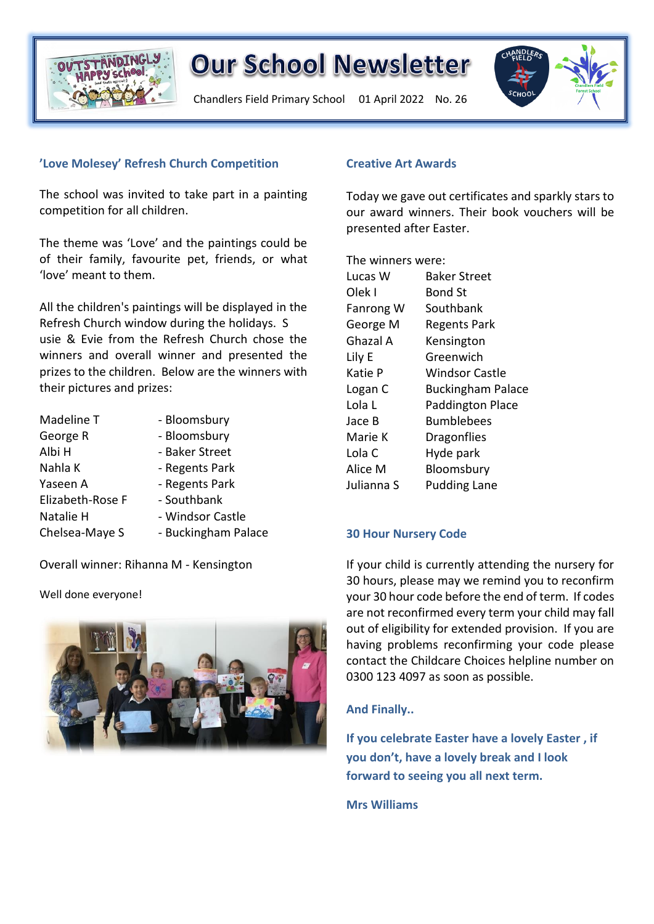

Chandlers Field Primary School 01 April 2022 No. 26



### **'Love Molesey' Refresh Church Competition**

The school was invited to take part in a painting competition for all children.

The theme was 'Love' and the paintings could be of their family, favourite pet, friends, or what 'love' meant to them.

All the children's paintings will be displayed in the Refresh Church window during the holidays. S usie & Evie from the Refresh Church chose the winners and overall winner and presented the prizes to the children. Below are the winners with their pictures and prizes:

| Madeline T       | - Bloomsbury        |
|------------------|---------------------|
| George R         | - Bloomsbury        |
| Albi H           | - Baker Street      |
| Nahla K          | - Regents Park      |
| Yaseen A         | - Regents Park      |
| Elizabeth-Rose F | - Southbank         |
| Natalie H        | - Windsor Castle    |
| Chelsea-Maye S   | - Buckingham Palace |

Overall winner: Rihanna M - Kensington

Well done everyone!



#### **Creative Art Awards**

Today we gave out certificates and sparkly stars to our award winners. Their book vouchers will be presented after Easter.

The winners were:

| Lucas W    | <b>Baker Street</b>      |
|------------|--------------------------|
| Olek I     | <b>Bond St</b>           |
| Fanrong W  | Southbank                |
| George M   | <b>Regents Park</b>      |
| Ghazal A   | Kensington               |
| Lily E     | Greenwich                |
| Katie P    | <b>Windsor Castle</b>    |
| Logan C    | <b>Buckingham Palace</b> |
| Lola L     | <b>Paddington Place</b>  |
| Jace B     | <b>Bumblebees</b>        |
| Marie K    | <b>Dragonflies</b>       |
| Lola C     | Hyde park                |
| Alice M    | Bloomsbury               |
| Julianna S | <b>Pudding Lane</b>      |

## **30 Hour Nursery Code**

If your child is currently attending the nursery for 30 hours, please may we remind you to reconfirm your 30 hour code before the end of term. If codes are not reconfirmed every term your child may fall out of eligibility for extended provision. If you are having problems reconfirming your code please contact the Childcare Choices helpline number on 0300 123 4097 as soon as possible.

## **And Finally..**

**If you celebrate Easter have a lovely Easter , if you don't, have a lovely break and I look forward to seeing you all next term.**

**Mrs Williams**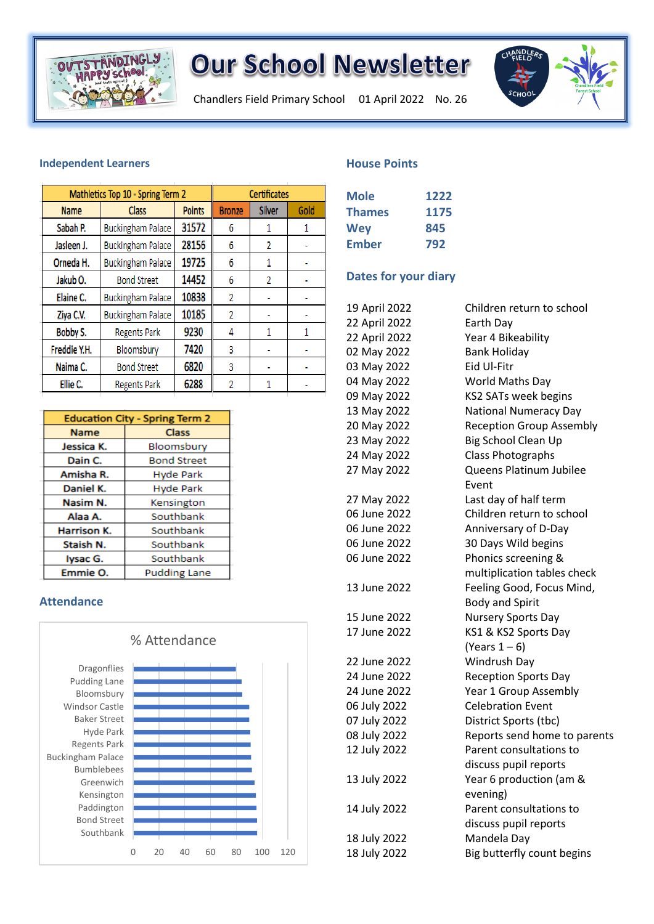

Chandlers Field Primary School 01 April 2022 No. 26



#### **Independent Learners**

| Mathletics Top 10 - Spring Term 2 | <b>Certificates</b>      |               |               |               |      |
|-----------------------------------|--------------------------|---------------|---------------|---------------|------|
| <b>Name</b>                       | <b>Class</b>             | <b>Points</b> | <b>Bronze</b> | <b>Silver</b> | Gold |
| Sabah P.                          | <b>Buckingham Palace</b> | 31572         | 6             |               | 1    |
| Jasleen J.                        | <b>Buckingham Palace</b> | 28156         | 6             | 2             |      |
| Orneda H.                         | <b>Buckingham Palace</b> | 19725         | 6             | 1             |      |
| Jakub O.                          | <b>Bond Street</b>       | 14452         | 6             | 2             |      |
| Elaine C.                         | <b>Buckingham Palace</b> | 10838         | 2             |               |      |
| Ziya C.V.                         | <b>Buckingham Palace</b> | 10185         | 2             |               |      |
| Bobby S.                          | <b>Regents Park</b>      | 9230          | 4             | 1             | 1    |
| Freddie Y.H.                      | Bloomsbury               | 7420          | 3             |               |      |
| Naima C.                          | <b>Bond Street</b>       | 6820          | 3             |               |      |
| Ellie C.                          | <b>Regents Park</b>      | 6288          | 2             |               |      |

| <b>Education City - Spring Term 2</b> |                     |  |
|---------------------------------------|---------------------|--|
| <b>Name</b>                           | Class               |  |
| Jessica K.                            | Bloomsbury          |  |
| Dain C.                               | <b>Bond Street</b>  |  |
| Amisha R.                             | <b>Hyde Park</b>    |  |
| Daniel K.                             | <b>Hyde Park</b>    |  |
| Nasim N.                              | Kensington          |  |
| Alaa A.                               | Southbank           |  |
| Harrison K.                           | Southbank           |  |
| Staish N.                             | Southbank           |  |
| lysac G.                              | Southbank           |  |
| Emmie O.                              | <b>Pudding Lane</b> |  |

### **Attendance**



#### **House Points**

| <b>Mole</b>   | 1222 |
|---------------|------|
| <b>Thames</b> | 1175 |
| <b>Wey</b>    | 845  |
| Ember         | 792  |

### **Dates for your diary**

| ham Palace        | 10838                   | 2              | ۰            | ۰   |                              |                                           |
|-------------------|-------------------------|----------------|--------------|-----|------------------------------|-------------------------------------------|
| ham Palace        | 10185                   | $\overline{2}$ | ÷,           | ÷   | 19 April 2022                | Children return to school                 |
| nts Park          | 9230                    | 4              | $\mathbf{1}$ | 1   | 22 April 2022                | Earth Day                                 |
| msbury            | 7420                    | 3              | ä,           | ä,  | 22 April 2022<br>02 May 2022 | Year 4 Bikeability<br><b>Bank Holiday</b> |
| d Street          | 6820                    | 3              | ÷            | ۰   | 03 May 2022                  | Eid Ul-Fitr                               |
|                   |                         |                |              |     | 04 May 2022                  | World Maths Day                           |
| nts Park          | 6288                    | 2              | $\mathbf{1}$ | ä,  | 09 May 2022                  | KS2 SATs week begins                      |
|                   |                         |                |              |     | 13 May 2022                  | <b>National Numeracy Day</b>              |
| y - Spring Term 2 |                         |                |              |     | 20 May 2022                  | <b>Reception Group Assembly</b>           |
|                   | <b>Class</b>            |                |              |     | 23 May 2022                  | Big School Clean Up                       |
|                   | Bloomsbury              |                |              |     | 24 May 2022                  | <b>Class Photographs</b>                  |
|                   | <b>Bond Street</b>      |                |              |     | 27 May 2022                  | Queens Platinum Jubilee                   |
|                   | <b>Hyde Park</b>        |                |              |     |                              | Event                                     |
|                   | <b>Hyde Park</b>        |                |              |     | 27 May 2022                  | Last day of half term                     |
|                   | Kensington<br>Southbank |                |              |     | 06 June 2022                 | Children return to school                 |
|                   | Southbank               |                |              |     | 06 June 2022                 | Anniversary of D-Day                      |
|                   | Southbank               |                |              |     | 06 June 2022                 | 30 Days Wild begins                       |
|                   | Southbank               |                |              |     | 06 June 2022                 | Phonics screening &                       |
|                   | <b>Pudding Lane</b>     |                |              |     |                              | multiplication tables check               |
|                   |                         |                |              |     | 13 June 2022                 | Feeling Good, Focus Mind,                 |
|                   |                         |                |              |     |                              | <b>Body and Spirit</b>                    |
|                   |                         |                |              |     | 15 June 2022                 | Nursery Sports Day                        |
|                   |                         |                |              |     | 17 June 2022                 | KS1 & KS2 Sports Day                      |
| % Attendance      |                         |                |              |     |                              | (Years $1-6$ )                            |
|                   |                         |                |              |     | 22 June 2022                 | Windrush Day                              |
|                   |                         |                |              |     | 24 June 2022                 | <b>Reception Sports Day</b>               |
|                   |                         |                |              |     | 24 June 2022                 | Year 1 Group Assembly                     |
|                   |                         |                |              |     | 06 July 2022                 | <b>Celebration Event</b>                  |
|                   |                         |                |              |     | 07 July 2022                 | District Sports (tbc)                     |
|                   |                         |                |              |     | 08 July 2022                 | Reports send home to parents              |
|                   |                         |                |              |     | 12 July 2022                 | Parent consultations to                   |
|                   |                         |                |              |     |                              | discuss pupil reports                     |
|                   |                         |                |              |     | 13 July 2022                 | Year 6 production (am &                   |
|                   |                         |                |              |     |                              | evening)                                  |
|                   |                         |                |              |     | 14 July 2022                 | Parent consultations to                   |
|                   |                         |                |              |     |                              | discuss pupil reports                     |
|                   |                         |                |              |     | 18 July 2022                 | Mandela Day                               |
| 20<br>0           | 40<br>60                | 80             | 100          | 120 | 18 July 2022                 | Big butterfly count begins                |
|                   |                         |                |              |     |                              |                                           |